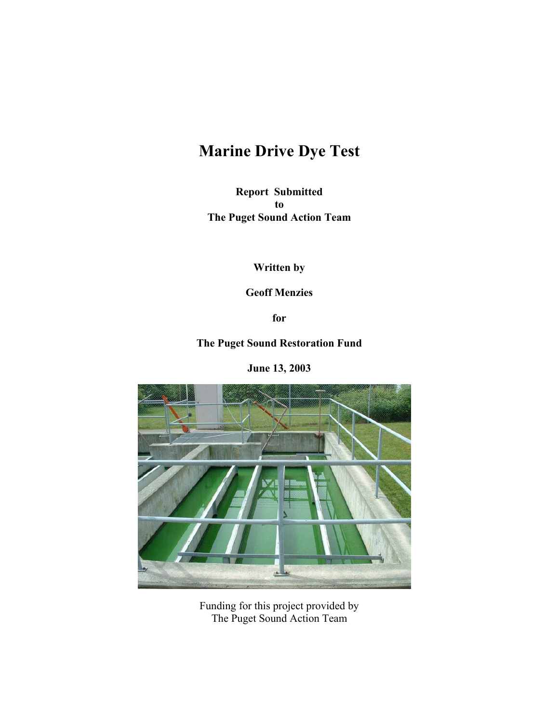# **Marine Drive Dye Test**

**Report Submitted to The Puget Sound Action Team** 

**Written by** 

**Geoff Menzies** 

**for** 

**The Puget Sound Restoration Fund** 

**June 13, 2003** 



Funding for this project provided by The Puget Sound Action Team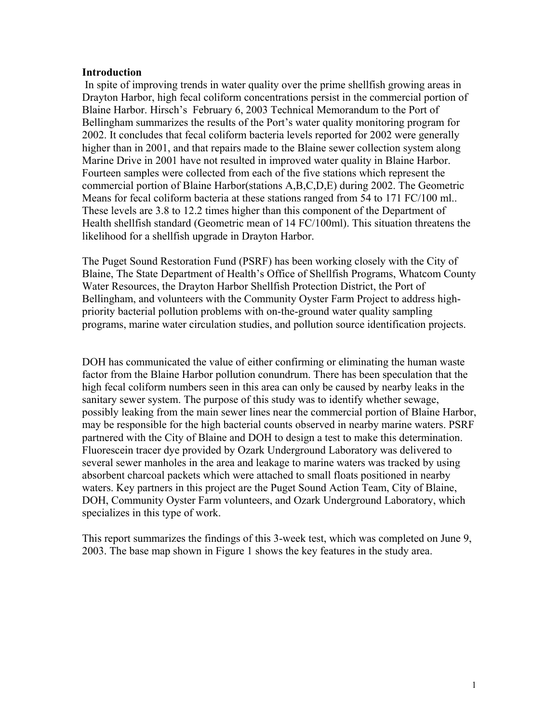#### **Introduction**

 In spite of improving trends in water quality over the prime shellfish growing areas in Drayton Harbor, high fecal coliform concentrations persist in the commercial portion of Blaine Harbor. Hirsch's February 6, 2003 Technical Memorandum to the Port of Bellingham summarizes the results of the Port's water quality monitoring program for 2002. It concludes that fecal coliform bacteria levels reported for 2002 were generally higher than in 2001, and that repairs made to the Blaine sewer collection system along Marine Drive in 2001 have not resulted in improved water quality in Blaine Harbor. Fourteen samples were collected from each of the five stations which represent the commercial portion of Blaine Harbor(stations A,B,C,D,E) during 2002. The Geometric Means for fecal coliform bacteria at these stations ranged from 54 to 171 FC/100 ml.. These levels are 3.8 to 12.2 times higher than this component of the Department of Health shellfish standard (Geometric mean of 14 FC/100ml). This situation threatens the likelihood for a shellfish upgrade in Drayton Harbor.

The Puget Sound Restoration Fund (PSRF) has been working closely with the City of Blaine, The State Department of Health's Office of Shellfish Programs, Whatcom County Water Resources, the Drayton Harbor Shellfish Protection District, the Port of Bellingham, and volunteers with the Community Oyster Farm Project to address highpriority bacterial pollution problems with on-the-ground water quality sampling programs, marine water circulation studies, and pollution source identification projects.

DOH has communicated the value of either confirming or eliminating the human waste factor from the Blaine Harbor pollution conundrum. There has been speculation that the high fecal coliform numbers seen in this area can only be caused by nearby leaks in the sanitary sewer system. The purpose of this study was to identify whether sewage, possibly leaking from the main sewer lines near the commercial portion of Blaine Harbor, may be responsible for the high bacterial counts observed in nearby marine waters. PSRF partnered with the City of Blaine and DOH to design a test to make this determination. Fluorescein tracer dye provided by Ozark Underground Laboratory was delivered to several sewer manholes in the area and leakage to marine waters was tracked by using absorbent charcoal packets which were attached to small floats positioned in nearby waters. Key partners in this project are the Puget Sound Action Team, City of Blaine, DOH, Community Oyster Farm volunteers, and Ozark Underground Laboratory, which specializes in this type of work.

This report summarizes the findings of this 3-week test, which was completed on June 9, 2003. The base map shown in Figure 1 shows the key features in the study area.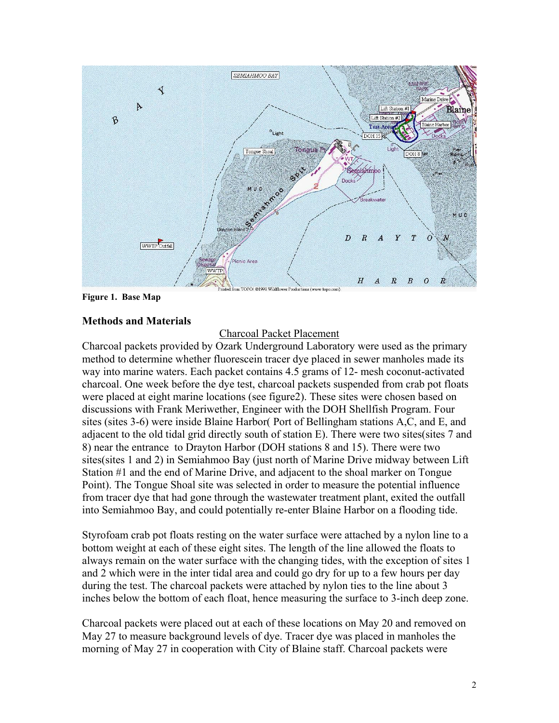

**Figure 1. Base Map** 

## **Methods and Materials**

# Charcoal Packet Placement

Charcoal packets provided by Ozark Underground Laboratory were used as the primary method to determine whether fluorescein tracer dye placed in sewer manholes made its way into marine waters. Each packet contains 4.5 grams of 12- mesh coconut-activated charcoal. One week before the dye test, charcoal packets suspended from crab pot floats were placed at eight marine locations (see figure2). These sites were chosen based on discussions with Frank Meriwether, Engineer with the DOH Shellfish Program. Four sites (sites 3-6) were inside Blaine Harbor( Port of Bellingham stations A,C, and E, and adjacent to the old tidal grid directly south of station E). There were two sites(sites 7 and 8) near the entrance to Drayton Harbor (DOH stations 8 and 15). There were two sites(sites 1 and 2) in Semiahmoo Bay (just north of Marine Drive midway between Lift Station #1 and the end of Marine Drive, and adjacent to the shoal marker on Tongue Point). The Tongue Shoal site was selected in order to measure the potential influence from tracer dye that had gone through the wastewater treatment plant, exited the outfall into Semiahmoo Bay, and could potentially re-enter Blaine Harbor on a flooding tide.

Styrofoam crab pot floats resting on the water surface were attached by a nylon line to a bottom weight at each of these eight sites. The length of the line allowed the floats to always remain on the water surface with the changing tides, with the exception of sites 1 and 2 which were in the inter tidal area and could go dry for up to a few hours per day during the test. The charcoal packets were attached by nylon ties to the line about 3 inches below the bottom of each float, hence measuring the surface to 3-inch deep zone.

Charcoal packets were placed out at each of these locations on May 20 and removed on May 27 to measure background levels of dye. Tracer dye was placed in manholes the morning of May 27 in cooperation with City of Blaine staff. Charcoal packets were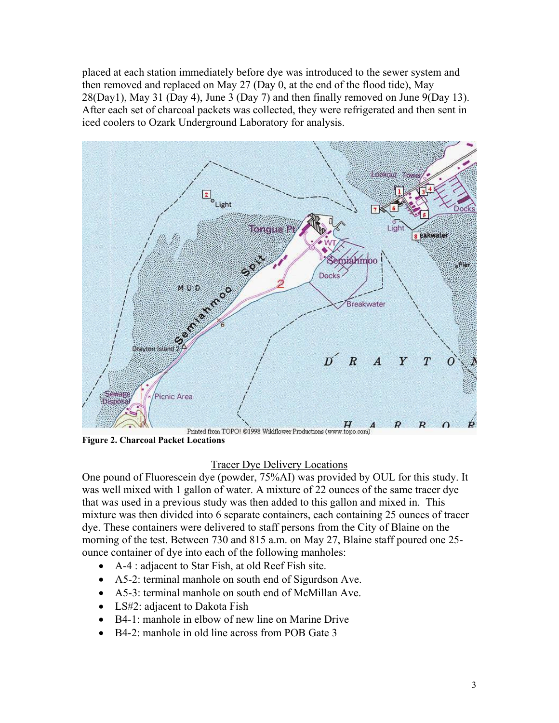placed at each station immediately before dye was introduced to the sewer system and then removed and replaced on May 27 (Day 0, at the end of the flood tide), May 28(Day1), May 31 (Day 4), June 3 (Day 7) and then finally removed on June 9(Day 13). After each set of charcoal packets was collected, they were refrigerated and then sent in iced coolers to Ozark Underground Laboratory for analysis.



**Figure 2. Charcoal Packet Locations** 

## Tracer Dye Delivery Locations

One pound of Fluorescein dye (powder, 75%AI) was provided by OUL for this study. It was well mixed with 1 gallon of water. A mixture of 22 ounces of the same tracer dye that was used in a previous study was then added to this gallon and mixed in. This mixture was then divided into 6 separate containers, each containing 25 ounces of tracer dye. These containers were delivered to staff persons from the City of Blaine on the morning of the test. Between 730 and 815 a.m. on May 27, Blaine staff poured one 25 ounce container of dye into each of the following manholes:

- A-4 : adjacent to Star Fish, at old Reef Fish site.
- A5-2: terminal manhole on south end of Sigurdson Ave.
- A5-3: terminal manhole on south end of McMillan Ave.
- LS#2: adjacent to Dakota Fish
- B4-1: manhole in elbow of new line on Marine Drive
- B4-2: manhole in old line across from POB Gate 3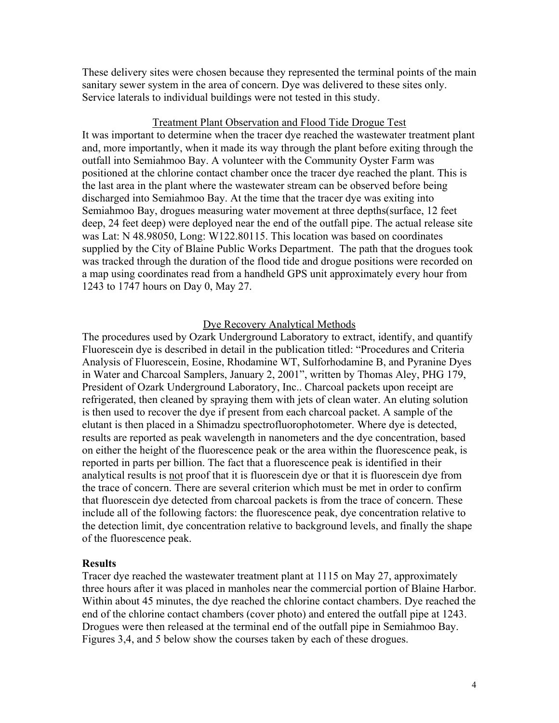These delivery sites were chosen because they represented the terminal points of the main sanitary sewer system in the area of concern. Dye was delivered to these sites only. Service laterals to individual buildings were not tested in this study.

#### Treatment Plant Observation and Flood Tide Drogue Test

It was important to determine when the tracer dye reached the wastewater treatment plant and, more importantly, when it made its way through the plant before exiting through the outfall into Semiahmoo Bay. A volunteer with the Community Oyster Farm was positioned at the chlorine contact chamber once the tracer dye reached the plant. This is the last area in the plant where the wastewater stream can be observed before being discharged into Semiahmoo Bay. At the time that the tracer dye was exiting into Semiahmoo Bay, drogues measuring water movement at three depths(surface, 12 feet deep, 24 feet deep) were deployed near the end of the outfall pipe. The actual release site was Lat: N 48.98050, Long: W122.80115. This location was based on coordinates supplied by the City of Blaine Public Works Department. The path that the drogues took was tracked through the duration of the flood tide and drogue positions were recorded on a map using coordinates read from a handheld GPS unit approximately every hour from 1243 to 1747 hours on Day 0, May 27.

#### Dye Recovery Analytical Methods

The procedures used by Ozark Underground Laboratory to extract, identify, and quantify Fluorescein dye is described in detail in the publication titled: "Procedures and Criteria Analysis of Fluorescein, Eosine, Rhodamine WT, Sulforhodamine B, and Pyranine Dyes in Water and Charcoal Samplers, January 2, 2001", written by Thomas Aley, PHG 179, President of Ozark Underground Laboratory, Inc.. Charcoal packets upon receipt are refrigerated, then cleaned by spraying them with jets of clean water. An eluting solution is then used to recover the dye if present from each charcoal packet. A sample of the elutant is then placed in a Shimadzu spectrofluorophotometer. Where dye is detected, results are reported as peak wavelength in nanometers and the dye concentration, based on either the height of the fluorescence peak or the area within the fluorescence peak, is reported in parts per billion. The fact that a fluorescence peak is identified in their analytical results is not proof that it is fluorescein dye or that it is fluorescein dye from the trace of concern. There are several criterion which must be met in order to confirm that fluorescein dye detected from charcoal packets is from the trace of concern. These include all of the following factors: the fluorescence peak, dye concentration relative to the detection limit, dye concentration relative to background levels, and finally the shape of the fluorescence peak.

#### **Results**

Tracer dye reached the wastewater treatment plant at 1115 on May 27, approximately three hours after it was placed in manholes near the commercial portion of Blaine Harbor. Within about 45 minutes, the dye reached the chlorine contact chambers. Dye reached the end of the chlorine contact chambers (cover photo) and entered the outfall pipe at 1243. Drogues were then released at the terminal end of the outfall pipe in Semiahmoo Bay. Figures 3,4, and 5 below show the courses taken by each of these drogues.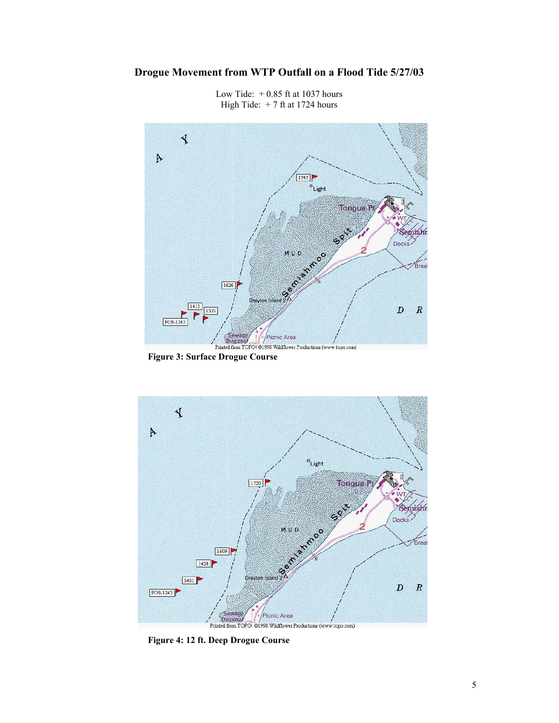# **Drogue Movement from WTP Outfall on a Flood Tide 5/27/03**



Low Tide:  $+0.85$  ft at 1037 hours High Tide:  $+ 7$  ft at 1724 hours

**Figure 3: Surface Drogue Course** 



**Figure 4: 12 ft. Deep Drogue Course**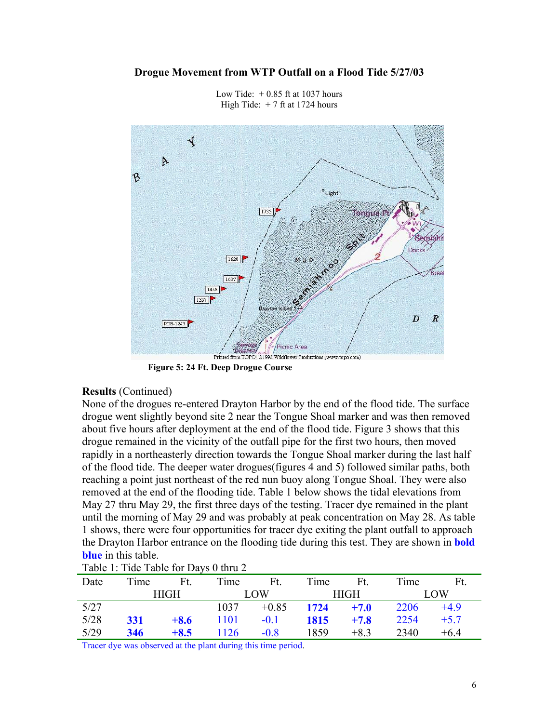#### **Drogue Movement from WTP Outfall on a Flood Tide 5/27/03**



Low Tide:  $+0.85$  ft at 1037 hours High Tide:  $+ 7$  ft at 1724 hours

**Figure 5: 24 Ft. Deep Drogue Course** 

#### **Results** (Continued)

None of the drogues re-entered Drayton Harbor by the end of the flood tide. The surface drogue went slightly beyond site 2 near the Tongue Shoal marker and was then removed about five hours after deployment at the end of the flood tide. Figure 3 shows that this drogue remained in the vicinity of the outfall pipe for the first two hours, then moved rapidly in a northeasterly direction towards the Tongue Shoal marker during the last half of the flood tide. The deeper water drogues(figures 4 and 5) followed similar paths, both reaching a point just northeast of the red nun buoy along Tongue Shoal. They were also removed at the end of the flooding tide. Table 1 below shows the tidal elevations from May 27 thru May 29, the first three days of the testing. Tracer dye remained in the plant until the morning of May 29 and was probably at peak concentration on May 28. As table 1 shows, there were four opportunities for tracer dye exiting the plant outfall to approach the Drayton Harbor entrance on the flooding tide during this test. They are shown in **bold blue** in this table.

| $\frac{1}{2}$ |             |        |            |              |      |        |      |        |  |  |
|---------------|-------------|--------|------------|--------------|------|--------|------|--------|--|--|
| Date          | Time        | Ft.    | Time       | Ft.          | Time | Ft.    | Time | Ft.    |  |  |
|               | <b>HIGH</b> |        | <b>LOW</b> |              | HIGH |        | LOW  |        |  |  |
| 5/27          |             |        | 1037       | $+0.85$ 1724 |      | $+7.0$ | 2206 | $+4.9$ |  |  |
| 5/28          | 331         | $+8.6$ | 1101       | $-0.1$       | 1815 | $+7.8$ | 2254 | $+5.7$ |  |  |
| 5/29          | 346         | $+8.5$ | 1126       | $-0.8$       | 1859 | $+8.3$ | 2340 | $+64$  |  |  |

Table 1: Tide Table for Days 0 thru 2

Tracer dye was observed at the plant during this time period.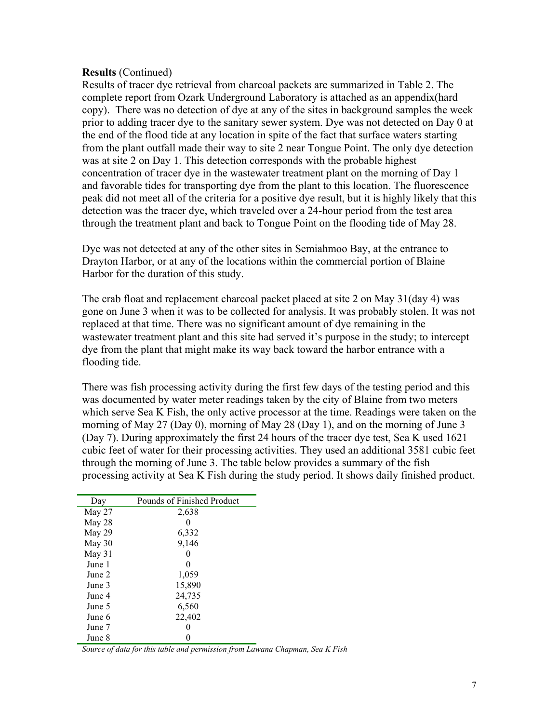### **Results** (Continued)

Results of tracer dye retrieval from charcoal packets are summarized in Table 2. The complete report from Ozark Underground Laboratory is attached as an appendix(hard copy). There was no detection of dye at any of the sites in background samples the week prior to adding tracer dye to the sanitary sewer system. Dye was not detected on Day 0 at the end of the flood tide at any location in spite of the fact that surface waters starting from the plant outfall made their way to site 2 near Tongue Point. The only dye detection was at site 2 on Day 1. This detection corresponds with the probable highest concentration of tracer dye in the wastewater treatment plant on the morning of Day 1 and favorable tides for transporting dye from the plant to this location. The fluorescence peak did not meet all of the criteria for a positive dye result, but it is highly likely that this detection was the tracer dye, which traveled over a 24-hour period from the test area through the treatment plant and back to Tongue Point on the flooding tide of May 28.

Dye was not detected at any of the other sites in Semiahmoo Bay, at the entrance to Drayton Harbor, or at any of the locations within the commercial portion of Blaine Harbor for the duration of this study.

The crab float and replacement charcoal packet placed at site 2 on May 31(day 4) was gone on June 3 when it was to be collected for analysis. It was probably stolen. It was not replaced at that time. There was no significant amount of dye remaining in the wastewater treatment plant and this site had served it's purpose in the study; to intercept dye from the plant that might make its way back toward the harbor entrance with a flooding tide.

There was fish processing activity during the first few days of the testing period and this was documented by water meter readings taken by the city of Blaine from two meters which serve Sea K Fish, the only active processor at the time. Readings were taken on the morning of May 27 (Day 0), morning of May 28 (Day 1), and on the morning of June 3 (Day 7). During approximately the first 24 hours of the tracer dye test, Sea K used 1621 cubic feet of water for their processing activities. They used an additional 3581 cubic feet through the morning of June 3. The table below provides a summary of the fish processing activity at Sea K Fish during the study period. It shows daily finished product.

| Day    | Pounds of Finished Product |
|--------|----------------------------|
| May 27 | 2,638                      |
| May 28 |                            |
| May 29 | 6,332                      |
| May 30 | 9,146                      |
| May 31 |                            |
| June 1 |                            |
| June 2 | 1,059                      |
| June 3 | 15,890                     |
| June 4 | 24,735                     |
| June 5 | 6,560                      |
| June 6 | 22,402                     |
| June 7 |                            |
| June 8 |                            |

*Source of data for this table and permission from Lawana Chapman, Sea K Fish*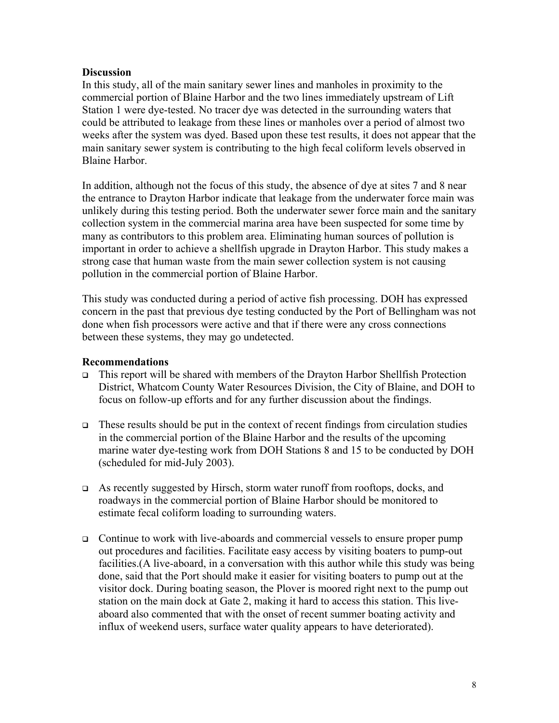## **Discussion**

In this study, all of the main sanitary sewer lines and manholes in proximity to the commercial portion of Blaine Harbor and the two lines immediately upstream of Lift Station 1 were dye-tested. No tracer dye was detected in the surrounding waters that could be attributed to leakage from these lines or manholes over a period of almost two weeks after the system was dyed. Based upon these test results, it does not appear that the main sanitary sewer system is contributing to the high fecal coliform levels observed in Blaine Harbor.

In addition, although not the focus of this study, the absence of dye at sites 7 and 8 near the entrance to Drayton Harbor indicate that leakage from the underwater force main was unlikely during this testing period. Both the underwater sewer force main and the sanitary collection system in the commercial marina area have been suspected for some time by many as contributors to this problem area. Eliminating human sources of pollution is important in order to achieve a shellfish upgrade in Drayton Harbor. This study makes a strong case that human waste from the main sewer collection system is not causing pollution in the commercial portion of Blaine Harbor.

This study was conducted during a period of active fish processing. DOH has expressed concern in the past that previous dye testing conducted by the Port of Bellingham was not done when fish processors were active and that if there were any cross connections between these systems, they may go undetected.

### **Recommendations**

- $\Box$  This report will be shared with members of the Drayton Harbor Shellfish Protection District, Whatcom County Water Resources Division, the City of Blaine, and DOH to focus on follow-up efforts and for any further discussion about the findings.
- $\Box$  These results should be put in the context of recent findings from circulation studies in the commercial portion of the Blaine Harbor and the results of the upcoming marine water dye-testing work from DOH Stations 8 and 15 to be conducted by DOH (scheduled for mid-July 2003).
- As recently suggested by Hirsch, storm water runoff from rooftops, docks, and roadways in the commercial portion of Blaine Harbor should be monitored to estimate fecal coliform loading to surrounding waters.
- Continue to work with live-aboards and commercial vessels to ensure proper pump out procedures and facilities. Facilitate easy access by visiting boaters to pump-out facilities.(A live-aboard, in a conversation with this author while this study was being done, said that the Port should make it easier for visiting boaters to pump out at the visitor dock. During boating season, the Plover is moored right next to the pump out station on the main dock at Gate 2, making it hard to access this station. This liveaboard also commented that with the onset of recent summer boating activity and influx of weekend users, surface water quality appears to have deteriorated).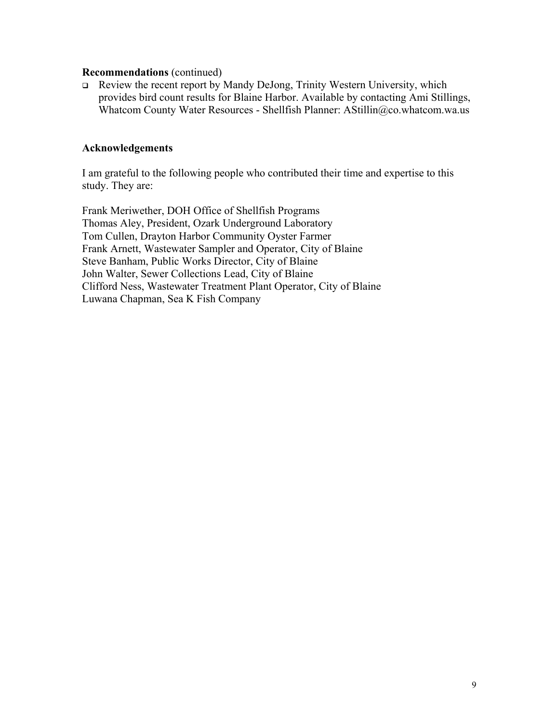#### **Recommendations** (continued)

 Review the recent report by Mandy DeJong, Trinity Western University, which provides bird count results for Blaine Harbor. Available by contacting Ami Stillings, Whatcom County Water Resources - Shellfish Planner: AStillin@co.whatcom.wa.us

## **Acknowledgements**

I am grateful to the following people who contributed their time and expertise to this study. They are:

Frank Meriwether, DOH Office of Shellfish Programs Thomas Aley, President, Ozark Underground Laboratory Tom Cullen, Drayton Harbor Community Oyster Farmer Frank Arnett, Wastewater Sampler and Operator, City of Blaine Steve Banham, Public Works Director, City of Blaine John Walter, Sewer Collections Lead, City of Blaine Clifford Ness, Wastewater Treatment Plant Operator, City of Blaine Luwana Chapman, Sea K Fish Company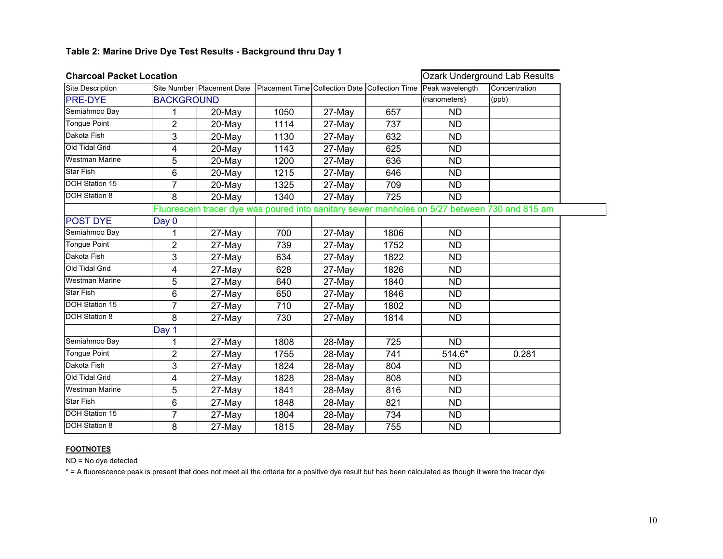| <b>Charcoal Packet Location</b> |                | <b>Ozark Underground Lab Results</b>                                                          |                                                |        |      |                 |               |  |  |  |  |
|---------------------------------|----------------|-----------------------------------------------------------------------------------------------|------------------------------------------------|--------|------|-----------------|---------------|--|--|--|--|
| Site Description                |                | Site Number Placement Date                                                                    | Placement Time Collection Date Collection Time |        |      | Peak wavelength | Concentration |  |  |  |  |
| <b>PRE-DYE</b>                  |                | <b>BACKGROUND</b>                                                                             |                                                |        |      | (nanometers)    | (ppb)         |  |  |  |  |
| Semiahmoo Bay                   | 1              | 20-May                                                                                        | 1050                                           | 27-May | 657  | <b>ND</b>       |               |  |  |  |  |
| <b>Tongue Point</b>             | $\overline{2}$ | 20-May                                                                                        | 1114                                           | 27-May | 737  | <b>ND</b>       |               |  |  |  |  |
| Dakota Fish                     | 3              | 20-May                                                                                        | 1130                                           | 27-May | 632  | <b>ND</b>       |               |  |  |  |  |
| Old Tidal Grid                  | 4              | 20-May                                                                                        | 1143                                           | 27-May | 625  | <b>ND</b>       |               |  |  |  |  |
| <b>Westman Marine</b>           | 5              | 20-May                                                                                        | 1200                                           | 27-May | 636  | <b>ND</b>       |               |  |  |  |  |
| <b>Star Fish</b>                | 6              | 20-May                                                                                        | 1215                                           | 27-May | 646  | <b>ND</b>       |               |  |  |  |  |
| <b>DOH Station 15</b>           | $\overline{7}$ | 20-May                                                                                        | 1325                                           | 27-May | 709  | <b>ND</b>       |               |  |  |  |  |
| <b>DOH Station 8</b>            | 8              | 20-May                                                                                        | 1340                                           | 27-May | 725  | <b>ND</b>       |               |  |  |  |  |
|                                 |                | Fluorescein tracer dye was poured into sanitary sewer manholes on 5/27 between 730 and 815 am |                                                |        |      |                 |               |  |  |  |  |
| <b>POST DYE</b>                 | Day 0          |                                                                                               |                                                |        |      |                 |               |  |  |  |  |
| Semiahmoo Bay                   | 1              | 27-May                                                                                        | 700                                            | 27-May | 1806 | <b>ND</b>       |               |  |  |  |  |
| <b>Tongue Point</b>             | $\overline{2}$ | 27-May                                                                                        | 739                                            | 27-May | 1752 | <b>ND</b>       |               |  |  |  |  |
| Dakota Fish                     | 3              | 27-May                                                                                        | 634                                            | 27-May | 1822 | <b>ND</b>       |               |  |  |  |  |
| Old Tidal Grid                  | 4              | 27-May                                                                                        | 628                                            | 27-May | 1826 | <b>ND</b>       |               |  |  |  |  |
| <b>Westman Marine</b>           | 5              | 27-May                                                                                        | 640                                            | 27-May | 1840 | <b>ND</b>       |               |  |  |  |  |
| Star Fish                       | 6              | 27-May                                                                                        | 650                                            | 27-May | 1846 | <b>ND</b>       |               |  |  |  |  |
| <b>DOH Station 15</b>           | 7              | 27-May                                                                                        | 710                                            | 27-May | 1802 | <b>ND</b>       |               |  |  |  |  |
| <b>DOH Station 8</b>            | 8              | 27-May                                                                                        | 730                                            | 27-May | 1814 | <b>ND</b>       |               |  |  |  |  |
|                                 | Day 1          |                                                                                               |                                                |        |      |                 |               |  |  |  |  |
| Semiahmoo Bay                   | 1              | 27-May                                                                                        | 1808                                           | 28-May | 725  | <b>ND</b>       |               |  |  |  |  |
| <b>Tongue Point</b>             | $\overline{2}$ | 27-May                                                                                        | 1755                                           | 28-May | 741  | 514.6*          | 0.281         |  |  |  |  |
| Dakota Fish                     | 3              | 27-May                                                                                        | 1824                                           | 28-May | 804  | <b>ND</b>       |               |  |  |  |  |
| Old Tidal Grid                  | 4              | 27-May                                                                                        | 1828                                           | 28-May | 808  | <b>ND</b>       |               |  |  |  |  |
| <b>Westman Marine</b>           | 5              | 27-May                                                                                        | 1841                                           | 28-May | 816  | <b>ND</b>       |               |  |  |  |  |
| <b>Star Fish</b>                | 6              | 27-May                                                                                        | 1848                                           | 28-May | 821  | <b>ND</b>       |               |  |  |  |  |
| <b>DOH Station 15</b>           | $\overline{7}$ | 27-May                                                                                        | 1804                                           | 28-May | 734  | <b>ND</b>       |               |  |  |  |  |
| <b>DOH Station 8</b>            | 8              | 27-May                                                                                        | 1815                                           | 28-May | 755  | <b>ND</b>       |               |  |  |  |  |

#### **FOOTNOTES**

ND = No dye detected

\* = A fluorescence peak is present that does not meet all the criteria for a positive dye result but has been calculated as though it were the tracer dye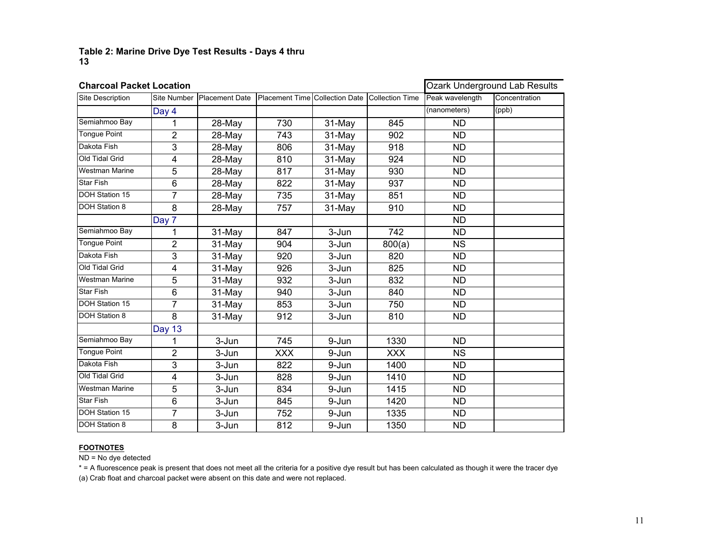#### **Table 2: Marine Drive Dye Test Results - Days 4 thru 13**

| <b>Charcoal Packet Location</b> |                    | Ozark Underground Lab Results |                                |        |                        |                 |               |
|---------------------------------|--------------------|-------------------------------|--------------------------------|--------|------------------------|-----------------|---------------|
| Site Description                | <b>Site Number</b> | Placement Date                | Placement Time Collection Date |        | <b>Collection Time</b> | Peak wavelength | Concentration |
|                                 | Day 4              |                               |                                |        |                        | (nanometers)    | (ppb)         |
| Semiahmoo Bay                   | 1                  | 28-May                        | 730                            | 31-May | 845                    | <b>ND</b>       |               |
| <b>Tongue Point</b>             | 2                  | 28-May                        | 743                            | 31-May | 902                    | <b>ND</b>       |               |
| Dakota Fish                     | 3                  | 28-May                        | 806                            | 31-May | 918                    | <b>ND</b>       |               |
| Old Tidal Grid                  | 4                  | $28-May$                      | 810                            | 31-May | 924                    | <b>ND</b>       |               |
| <b>Westman Marine</b>           | 5                  | 28-May                        | 817                            | 31-May | 930                    | <b>ND</b>       |               |
| <b>Star Fish</b>                | 6                  | 28-May                        | 822                            | 31-May | 937                    | <b>ND</b>       |               |
| <b>DOH Station 15</b>           | 7                  | 28-May                        | 735                            | 31-May | 851                    | <b>ND</b>       |               |
| <b>DOH Station 8</b>            | 8                  | 28-May                        | 757                            | 31-May | 910                    | <b>ND</b>       |               |
|                                 | Day 7              |                               |                                |        |                        | <b>ND</b>       |               |
| Semiahmoo Bay                   | 1                  | 31-May                        | 847                            | 3-Jun  | 742                    | <b>ND</b>       |               |
| <b>Tongue Point</b>             | 2                  | 31-May                        | 904                            | 3-Jun  | 800(a)                 | <b>NS</b>       |               |
| Dakota Fish                     | 3                  | 31-May                        | 920                            | 3-Jun  | 820                    | <b>ND</b>       |               |
| Old Tidal Grid                  | 4                  | 31-May                        | 926                            | 3-Jun  | 825                    | <b>ND</b>       |               |
| <b>Westman Marine</b>           | 5                  | 31-May                        | 932                            | 3-Jun  | 832                    | <b>ND</b>       |               |
| <b>Star Fish</b>                | 6                  | 31-May                        | 940                            | 3-Jun  | 840                    | <b>ND</b>       |               |
| <b>DOH Station 15</b>           | $\overline{7}$     | 31-May                        | 853                            | 3-Jun  | 750                    | <b>ND</b>       |               |
| DOH Station 8                   | 8                  | 31-May                        | 912                            | 3-Jun  | 810                    | <b>ND</b>       |               |
|                                 | <b>Day 13</b>      |                               |                                |        |                        |                 |               |
| Semiahmoo Bay                   | 1                  | 3-Jun                         | 745                            | 9-Jun  | 1330                   | <b>ND</b>       |               |
| <b>Tongue Point</b>             | $\overline{2}$     | 3-Jun                         | <b>XXX</b>                     | 9-Jun  | <b>XXX</b>             | <b>NS</b>       |               |
| Dakota Fish                     | 3                  | 3-Jun                         | 822                            | 9-Jun  | 1400                   | <b>ND</b>       |               |
| Old Tidal Grid                  | 4                  | 3-Jun                         | 828                            | 9-Jun  | 1410                   | <b>ND</b>       |               |
| <b>Westman Marine</b>           | 5                  | 3-Jun                         | 834                            | 9-Jun  | 1415                   | <b>ND</b>       |               |
| <b>Star Fish</b>                | 6                  | 3-Jun                         | 845                            | 9-Jun  | 1420                   | <b>ND</b>       |               |
| <b>DOH Station 15</b>           | 7                  | 3-Jun                         | 752                            | 9-Jun  | 1335                   | <b>ND</b>       |               |
| <b>DOH Station 8</b>            | 8                  | 3-Jun                         | 812                            | 9-Jun  | 1350                   | <b>ND</b>       |               |

#### **FOOTNOTES**

ND = No dye detected

\* = A fluorescence peak is present that does not meet all the criteria for a positive dye result but has been calculated as though it were the tracer dye (a) Crab float and charcoal packet were absent on this date and were not replaced.